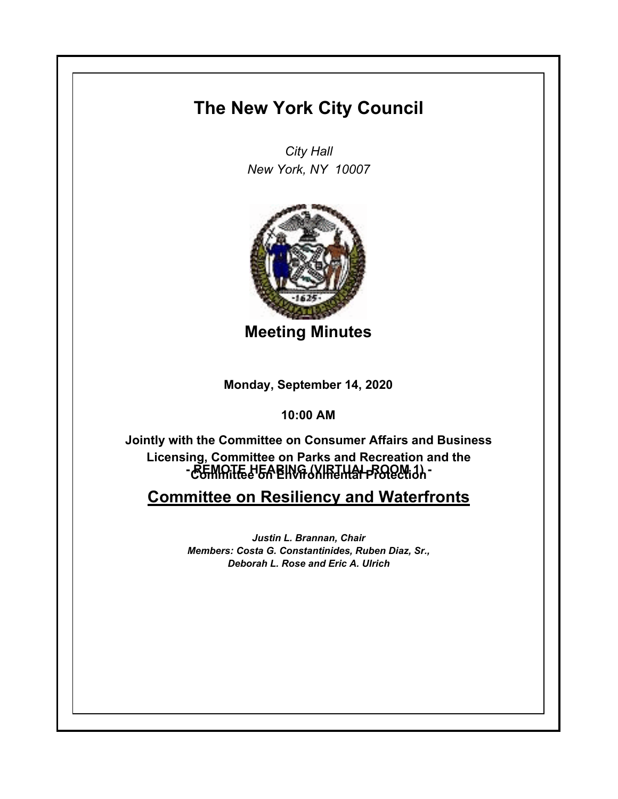## **The New York City Council**

*City Hall New York, NY 10007*



**Meeting Minutes**

**Monday, September 14, 2020**

**10:00 AM**

**- CGMATE LEA ENVA (XIRTHAL PROQUIJ) -Jointly with the Committee on Consumer Affairs and Business Licensing, Committee on Parks and Recreation and the** 

**Committee on Resiliency and Waterfronts**

*Justin L. Brannan, Chair Members: Costa G. Constantinides, Ruben Diaz, Sr., Deborah L. Rose and Eric A. Ulrich*